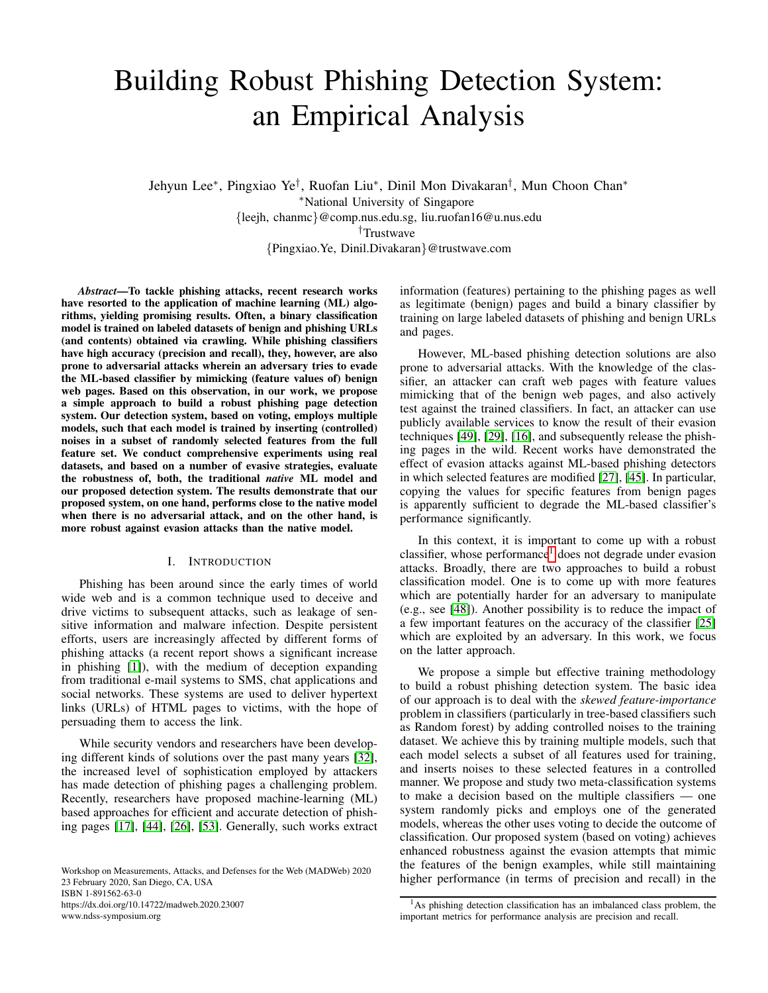# Building Robust Phishing Detection System: an Empirical Analysis

Jehyun Lee<sup>∗</sup> , Pingxiao Ye† , Ruofan Liu<sup>∗</sup> , Dinil Mon Divakaran† , Mun Choon Chan<sup>∗</sup> <sup>∗</sup>National University of Singapore {leejh, chanmc}@comp.nus.edu.sg, liu.ruofan16@u.nus.edu †Trustwave {Pingxiao.Ye, Dinil.Divakaran}@trustwave.com

*Abstract*—To tackle phishing attacks, recent research works have resorted to the application of machine learning (ML) algorithms, yielding promising results. Often, a binary classification model is trained on labeled datasets of benign and phishing URLs (and contents) obtained via crawling. While phishing classifiers have high accuracy (precision and recall), they, however, are also prone to adversarial attacks wherein an adversary tries to evade the ML-based classifier by mimicking (feature values of) benign web pages. Based on this observation, in our work, we propose a simple approach to build a robust phishing page detection system. Our detection system, based on voting, employs multiple models, such that each model is trained by inserting (controlled) noises in a subset of randomly selected features from the full feature set. We conduct comprehensive experiments using real datasets, and based on a number of evasive strategies, evaluate the robustness of, both, the traditional *native* ML model and our proposed detection system. The results demonstrate that our proposed system, on one hand, performs close to the native model when there is no adversarial attack, and on the other hand, is more robust against evasion attacks than the native model.

#### I. INTRODUCTION

Phishing has been around since the early times of world wide web and is a common technique used to deceive and drive victims to subsequent attacks, such as leakage of sensitive information and malware infection. Despite persistent efforts, users are increasingly affected by different forms of phishing attacks (a recent report shows a significant increase in phishing [\[1\]](#page-9-0)), with the medium of deception expanding from traditional e-mail systems to SMS, chat applications and social networks. These systems are used to deliver hypertext links (URLs) of HTML pages to victims, with the hope of persuading them to access the link.

While security vendors and researchers have been developing different kinds of solutions over the past many years [\[32\]](#page-10-0), the increased level of sophistication employed by attackers has made detection of phishing pages a challenging problem. Recently, researchers have proposed machine-learning (ML) based approaches for efficient and accurate detection of phishing pages [\[17\]](#page-10-1), [\[44\]](#page-10-2), [\[26\]](#page-10-3), [\[53\]](#page-10-4). Generally, such works extract

Workshop on Measurements, Attacks, and Defenses for the Web (MADWeb) 2020 23 February 2020, San Diego, CA, USA ISBN 1-891562-63-0 https://dx.doi.org/10.14722/madweb.2020.23007 www.ndss-symposium.org

information (features) pertaining to the phishing pages as well as legitimate (benign) pages and build a binary classifier by training on large labeled datasets of phishing and benign URLs and pages.

However, ML-based phishing detection solutions are also prone to adversarial attacks. With the knowledge of the classifier, an attacker can craft web pages with feature values mimicking that of the benign web pages, and also actively test against the trained classifiers. In fact, an attacker can use publicly available services to know the result of their evasion techniques [\[49\]](#page-10-5), [\[29\]](#page-10-6), [\[16\]](#page-10-7), and subsequently release the phishing pages in the wild. Recent works have demonstrated the effect of evasion attacks against ML-based phishing detectors in which selected features are modified [\[27\]](#page-10-8), [\[45\]](#page-10-9). In particular, copying the values for specific features from benign pages is apparently sufficient to degrade the ML-based classifier's performance significantly.

In this context, it is important to come up with a robust classifier, whose performance<sup>[1](#page-0-0)</sup> does not degrade under evasion attacks. Broadly, there are two approaches to build a robust classification model. One is to come up with more features which are potentially harder for an adversary to manipulate (e.g., see [\[48\]](#page-10-10)). Another possibility is to reduce the impact of a few important features on the accuracy of the classifier [\[25\]](#page-10-11) which are exploited by an adversary. In this work, we focus on the latter approach.

We propose a simple but effective training methodology to build a robust phishing detection system. The basic idea of our approach is to deal with the *skewed feature-importance* problem in classifiers (particularly in tree-based classifiers such as Random forest) by adding controlled noises to the training dataset. We achieve this by training multiple models, such that each model selects a subset of all features used for training, and inserts noises to these selected features in a controlled manner. We propose and study two meta-classification systems to make a decision based on the multiple classifiers — one system randomly picks and employs one of the generated models, whereas the other uses voting to decide the outcome of classification. Our proposed system (based on voting) achieves enhanced robustness against the evasion attempts that mimic the features of the benign examples, while still maintaining higher performance (in terms of precision and recall) in the

<span id="page-0-0"></span><sup>&</sup>lt;sup>1</sup>As phishing detection classification has an imbalanced class problem, the important metrics for performance analysis are precision and recall.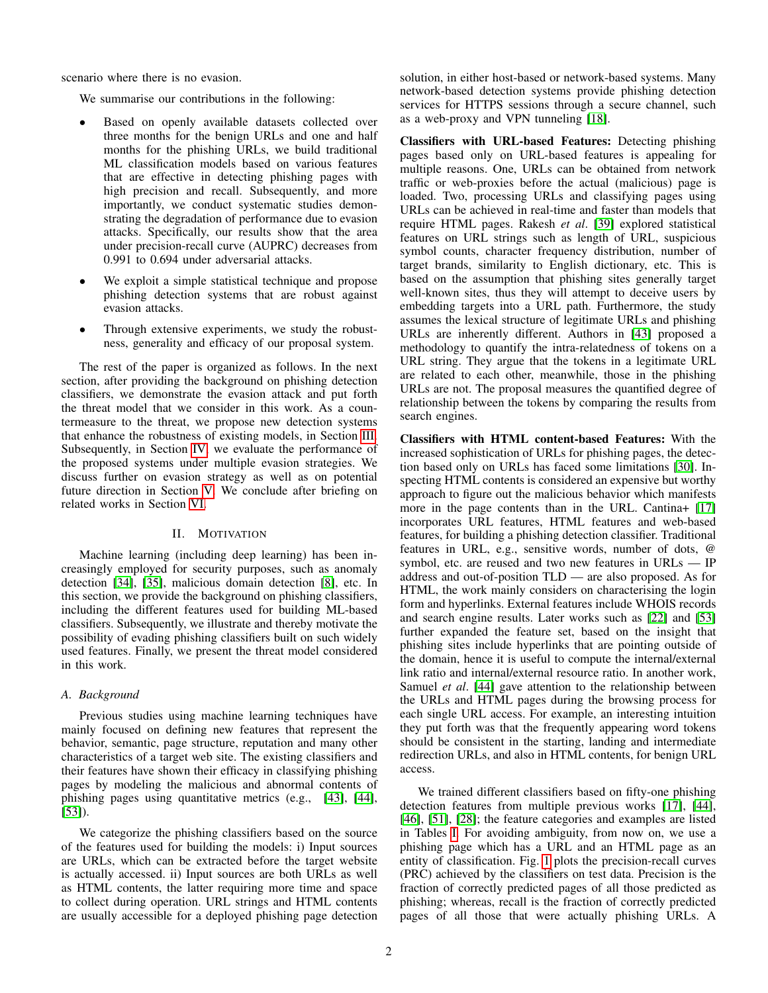scenario where there is no evasion.

We summarise our contributions in the following:

- Based on openly available datasets collected over three months for the benign URLs and one and half months for the phishing URLs, we build traditional ML classification models based on various features that are effective in detecting phishing pages with high precision and recall. Subsequently, and more importantly, we conduct systematic studies demonstrating the degradation of performance due to evasion attacks. Specifically, our results show that the area under precision-recall curve (AUPRC) decreases from 0.991 to 0.694 under adversarial attacks.
- We exploit a simple statistical technique and propose phishing detection systems that are robust against evasion attacks.
- Through extensive experiments, we study the robustness, generality and efficacy of our proposal system.

The rest of the paper is organized as follows. In the next section, after providing the background on phishing detection classifiers, we demonstrate the evasion attack and put forth the threat model that we consider in this work. As a countermeasure to the threat, we propose new detection systems that enhance the robustness of existing models, in Section [III.](#page-3-0) Subsequently, in Section [IV,](#page-5-0) we evaluate the performance of the proposed systems under multiple evasion strategies. We discuss further on evasion strategy as well as on potential future direction in Section [V.](#page-8-0) We conclude after briefing on related works in Section [VI.](#page-9-1)

#### II. MOTIVATION

Machine learning (including deep learning) has been increasingly employed for security purposes, such as anomaly detection [\[34\]](#page-10-12), [\[35\]](#page-10-13), malicious domain detection [\[8\]](#page-10-14), etc. In this section, we provide the background on phishing classifiers, including the different features used for building ML-based classifiers. Subsequently, we illustrate and thereby motivate the possibility of evading phishing classifiers built on such widely used features. Finally, we present the threat model considered in this work.

## <span id="page-1-0"></span>*A. Background*

Previous studies using machine learning techniques have mainly focused on defining new features that represent the behavior, semantic, page structure, reputation and many other characteristics of a target web site. The existing classifiers and their features have shown their efficacy in classifying phishing pages by modeling the malicious and abnormal contents of phishing pages using quantitative metrics (e.g., [\[43\]](#page-10-15), [\[44\]](#page-10-2), [\[53\]](#page-10-4)).

We categorize the phishing classifiers based on the source of the features used for building the models: i) Input sources are URLs, which can be extracted before the target website is actually accessed. ii) Input sources are both URLs as well as HTML contents, the latter requiring more time and space to collect during operation. URL strings and HTML contents are usually accessible for a deployed phishing page detection solution, in either host-based or network-based systems. Many network-based detection systems provide phishing detection services for HTTPS sessions through a secure channel, such as a web-proxy and VPN tunneling [\[18\]](#page-10-16).

Classifiers with URL-based Features: Detecting phishing pages based only on URL-based features is appealing for multiple reasons. One, URLs can be obtained from network traffic or web-proxies before the actual (malicious) page is loaded. Two, processing URLs and classifying pages using URLs can be achieved in real-time and faster than models that require HTML pages. Rakesh *et al*. [\[39\]](#page-10-17) explored statistical features on URL strings such as length of URL, suspicious symbol counts, character frequency distribution, number of target brands, similarity to English dictionary, etc. This is based on the assumption that phishing sites generally target well-known sites, thus they will attempt to deceive users by embedding targets into a URL path. Furthermore, the study assumes the lexical structure of legitimate URLs and phishing URLs are inherently different. Authors in [\[43\]](#page-10-15) proposed a methodology to quantify the intra-relatedness of tokens on a URL string. They argue that the tokens in a legitimate URL are related to each other, meanwhile, those in the phishing URLs are not. The proposal measures the quantified degree of relationship between the tokens by comparing the results from search engines.

Classifiers with HTML content-based Features: With the increased sophistication of URLs for phishing pages, the detection based only on URLs has faced some limitations [\[30\]](#page-10-18). Inspecting HTML contents is considered an expensive but worthy approach to figure out the malicious behavior which manifests more in the page contents than in the URL. Cantina+ [\[17\]](#page-10-1) incorporates URL features, HTML features and web-based features, for building a phishing detection classifier. Traditional features in URL, e.g., sensitive words, number of dots, @ symbol, etc. are reused and two new features in URLs — IP address and out-of-position TLD — are also proposed. As for HTML, the work mainly considers on characterising the login form and hyperlinks. External features include WHOIS records and search engine results. Later works such as [\[22\]](#page-10-19) and [\[53\]](#page-10-4) further expanded the feature set, based on the insight that phishing sites include hyperlinks that are pointing outside of the domain, hence it is useful to compute the internal/external link ratio and internal/external resource ratio. In another work, Samuel *et al*. [\[44\]](#page-10-2) gave attention to the relationship between the URLs and HTML pages during the browsing process for each single URL access. For example, an interesting intuition they put forth was that the frequently appearing word tokens should be consistent in the starting, landing and intermediate redirection URLs, and also in HTML contents, for benign URL access.

We trained different classifiers based on fifty-one phishing detection features from multiple previous works [\[17\]](#page-10-1), [\[44\]](#page-10-2), [\[46\]](#page-10-20), [\[51\]](#page-10-21), [\[28\]](#page-10-22); the feature categories and examples are listed in Tables [I.](#page-2-0) For avoiding ambiguity, from now on, we use a phishing page which has a URL and an HTML page as an entity of classification. Fig. [1](#page-2-1) plots the precision-recall curves (PRC) achieved by the classifiers on test data. Precision is the fraction of correctly predicted pages of all those predicted as phishing; whereas, recall is the fraction of correctly predicted pages of all those that were actually phishing URLs. A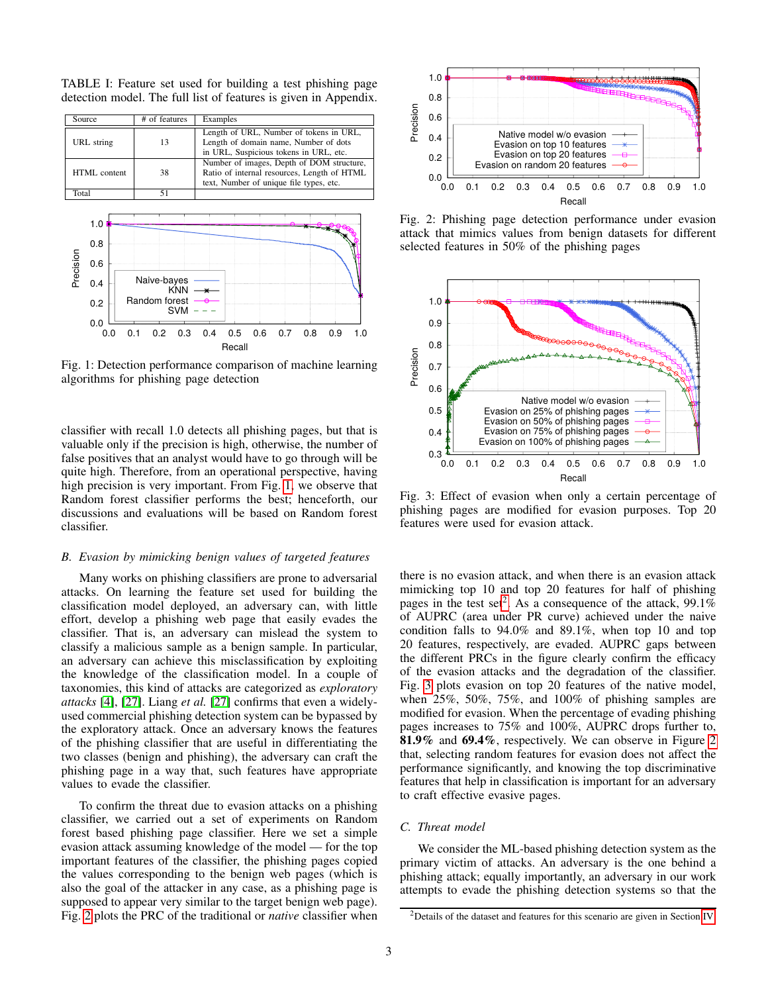<span id="page-2-0"></span>TABLE I: Feature set used for building a test phishing page detection model. The full list of features is given in Appendix.

<span id="page-2-1"></span>

| Source                                                     | # of features                                                                 | Examples                                                                                                                            |  |  |  |
|------------------------------------------------------------|-------------------------------------------------------------------------------|-------------------------------------------------------------------------------------------------------------------------------------|--|--|--|
| URL string                                                 | 13                                                                            | Length of URL, Number of tokens in URL,<br>Length of domain name, Number of dots<br>in URL, Suspicious tokens in URL, etc.          |  |  |  |
| HTML content                                               | 38                                                                            | Number of images, Depth of DOM structure,<br>Ratio of internal resources, Length of HTML<br>text, Number of unique file types, etc. |  |  |  |
| Total                                                      | 51                                                                            |                                                                                                                                     |  |  |  |
| 1.0<br>0.8<br>Precision<br>0.6<br>0.4<br>0.2<br>0.0<br>0.0 | Naive-bayes<br><b>KNN</b><br>Random forest<br><b>SVM</b><br>0.3<br>0.2<br>በ 1 | 0.5<br>0.4<br>0.6<br>0.7<br>0.8<br>0.9<br>1.0<br>Recall                                                                             |  |  |  |

Fig. 1: Detection performance comparison of machine learning algorithms for phishing page detection

classifier with recall 1.0 detects all phishing pages, but that is valuable only if the precision is high, otherwise, the number of false positives that an analyst would have to go through will be quite high. Therefore, from an operational perspective, having high precision is very important. From Fig. [1,](#page-2-1) we observe that Random forest classifier performs the best; henceforth, our discussions and evaluations will be based on Random forest classifier.

## *B. Evasion by mimicking benign values of targeted features*

Many works on phishing classifiers are prone to adversarial attacks. On learning the feature set used for building the classification model deployed, an adversary can, with little effort, develop a phishing web page that easily evades the classifier. That is, an adversary can mislead the system to classify a malicious sample as a benign sample. In particular, an adversary can achieve this misclassification by exploiting the knowledge of the classification model. In a couple of taxonomies, this kind of attacks are categorized as *exploratory attacks* [\[4\]](#page-9-2), [\[27\]](#page-10-8). Liang *et al.* [\[27\]](#page-10-8) confirms that even a widelyused commercial phishing detection system can be bypassed by the exploratory attack. Once an adversary knows the features of the phishing classifier that are useful in differentiating the two classes (benign and phishing), the adversary can craft the phishing page in a way that, such features have appropriate values to evade the classifier.

To confirm the threat due to evasion attacks on a phishing classifier, we carried out a set of experiments on Random forest based phishing page classifier. Here we set a simple evasion attack assuming knowledge of the model — for the top important features of the classifier, the phishing pages copied the values corresponding to the benign web pages (which is also the goal of the attacker in any case, as a phishing page is supposed to appear very similar to the target benign web page). Fig. [2](#page-2-2) plots the PRC of the traditional or *native* classifier when

<span id="page-2-2"></span>

Fig. 2: Phishing page detection performance under evasion attack that mimics values from benign datasets for different selected features in 50% of the phishing pages

<span id="page-2-4"></span>

Fig. 3: Effect of evasion when only a certain percentage of phishing pages are modified for evasion purposes. Top 20 features were used for evasion attack.

there is no evasion attack, and when there is an evasion attack mimicking top 10 and top 20 features for half of phishing pages in the test set<sup>[2](#page-2-3)</sup>. As a consequence of the attack, 99.1% of AUPRC (area under PR curve) achieved under the naive condition falls to 94.0% and 89.1%, when top 10 and top 20 features, respectively, are evaded. AUPRC gaps between the different PRCs in the figure clearly confirm the efficacy of the evasion attacks and the degradation of the classifier. Fig. [3](#page-2-4) plots evasion on top 20 features of the native model, when 25%, 50%, 75%, and 100% of phishing samples are modified for evasion. When the percentage of evading phishing pages increases to 75% and 100%, AUPRC drops further to, 81.9% and 69.4%, respectively. We can observe in Figure [2](#page-2-2) that, selecting random features for evasion does not affect the performance significantly, and knowing the top discriminative features that help in classification is important for an adversary to craft effective evasive pages.

#### *C. Threat model*

We consider the ML-based phishing detection system as the primary victim of attacks. An adversary is the one behind a phishing attack; equally importantly, an adversary in our work attempts to evade the phishing detection systems so that the

<span id="page-2-3"></span><sup>2</sup>Details of the dataset and features for this scenario are given in Section [IV.](#page-5-0)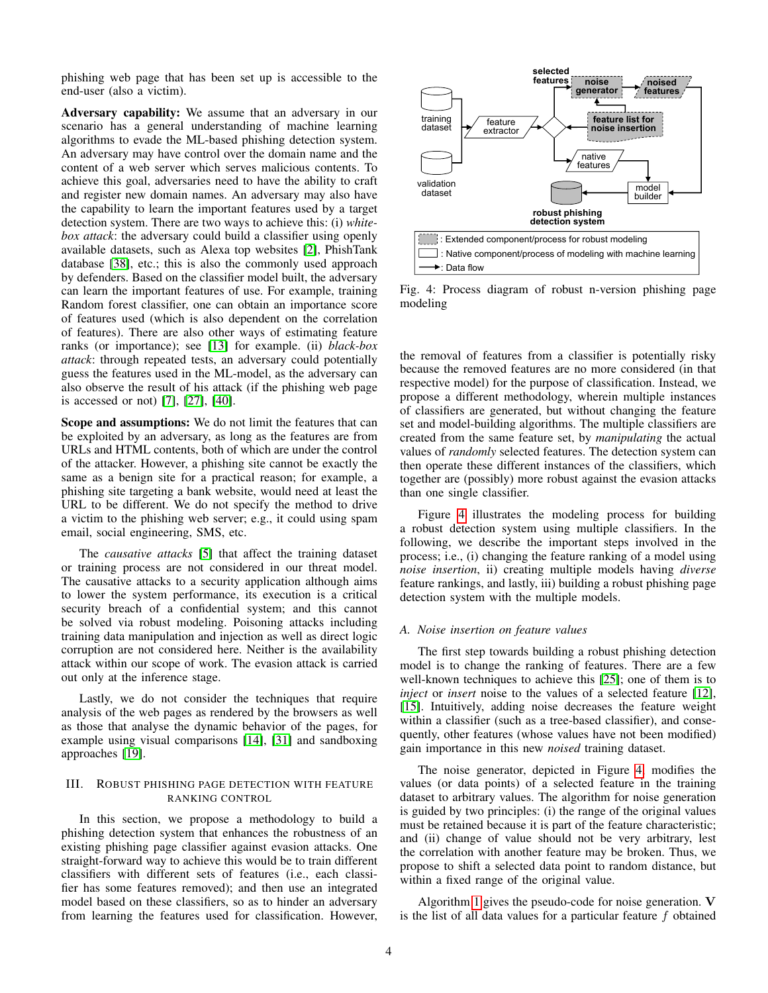phishing web page that has been set up is accessible to the end-user (also a victim).

Adversary capability: We assume that an adversary in our scenario has a general understanding of machine learning algorithms to evade the ML-based phishing detection system. An adversary may have control over the domain name and the content of a web server which serves malicious contents. To achieve this goal, adversaries need to have the ability to craft and register new domain names. An adversary may also have the capability to learn the important features used by a target detection system. There are two ways to achieve this: (i) *whitebox attack*: the adversary could build a classifier using openly available datasets, such as Alexa top websites [\[2\]](#page-9-3), PhishTank database [\[38\]](#page-10-23), etc.; this is also the commonly used approach by defenders. Based on the classifier model built, the adversary can learn the important features of use. For example, training Random forest classifier, one can obtain an importance score of features used (which is also dependent on the correlation of features). There are also other ways of estimating feature ranks (or importance); see [\[13\]](#page-10-24) for example. (ii) *black-box attack*: through repeated tests, an adversary could potentially guess the features used in the ML-model, as the adversary can also observe the result of his attack (if the phishing web page is accessed or not) [\[7\]](#page-10-25), [\[27\]](#page-10-8), [\[40\]](#page-10-26).

Scope and assumptions: We do not limit the features that can be exploited by an adversary, as long as the features are from URLs and HTML contents, both of which are under the control of the attacker. However, a phishing site cannot be exactly the same as a benign site for a practical reason; for example, a phishing site targeting a bank website, would need at least the URL to be different. We do not specify the method to drive a victim to the phishing web server; e.g., it could using spam email, social engineering, SMS, etc.

The *causative attacks* [\[5\]](#page-9-4) that affect the training dataset or training process are not considered in our threat model. The causative attacks to a security application although aims to lower the system performance, its execution is a critical security breach of a confidential system; and this cannot be solved via robust modeling. Poisoning attacks including training data manipulation and injection as well as direct logic corruption are not considered here. Neither is the availability attack within our scope of work. The evasion attack is carried out only at the inference stage.

Lastly, we do not consider the techniques that require analysis of the web pages as rendered by the browsers as well as those that analyse the dynamic behavior of the pages, for example using visual comparisons [\[14\]](#page-10-27), [\[31\]](#page-10-28) and sandboxing approaches [\[19\]](#page-10-29).

## <span id="page-3-0"></span>III. ROBUST PHISHING PAGE DETECTION WITH FEATURE RANKING CONTROL

In this section, we propose a methodology to build a phishing detection system that enhances the robustness of an existing phishing page classifier against evasion attacks. One straight-forward way to achieve this would be to train different classifiers with different sets of features (i.e., each classifier has some features removed); and then use an integrated model based on these classifiers, so as to hinder an adversary from learning the features used for classification. However,

<span id="page-3-1"></span>

Fig. 4: Process diagram of robust n-version phishing page modeling

the removal of features from a classifier is potentially risky because the removed features are no more considered (in that respective model) for the purpose of classification. Instead, we propose a different methodology, wherein multiple instances of classifiers are generated, but without changing the feature set and model-building algorithms. The multiple classifiers are created from the same feature set, by *manipulating* the actual values of *randomly* selected features. The detection system can then operate these different instances of the classifiers, which together are (possibly) more robust against the evasion attacks than one single classifier.

Figure [4](#page-3-1) illustrates the modeling process for building a robust detection system using multiple classifiers. In the following, we describe the important steps involved in the process; i.e., (i) changing the feature ranking of a model using *noise insertion*, ii) creating multiple models having *diverse* feature rankings, and lastly, iii) building a robust phishing page detection system with the multiple models.

## <span id="page-3-2"></span>*A. Noise insertion on feature values*

The first step towards building a robust phishing detection model is to change the ranking of features. There are a few well-known techniques to achieve this [\[25\]](#page-10-11); one of them is to *inject* or *insert* noise to the values of a selected feature [\[12\]](#page-10-30), [\[15\]](#page-10-31). Intuitively, adding noise decreases the feature weight within a classifier (such as a tree-based classifier), and consequently, other features (whose values have not been modified) gain importance in this new *noised* training dataset.

The noise generator, depicted in Figure [4,](#page-3-1) modifies the values (or data points) of a selected feature in the training dataset to arbitrary values. The algorithm for noise generation is guided by two principles: (i) the range of the original values must be retained because it is part of the feature characteristic; and (ii) change of value should not be very arbitrary, lest the correlation with another feature may be broken. Thus, we propose to shift a selected data point to random distance, but within a fixed range of the original value.

Algorithm [1](#page-4-0) gives the pseudo-code for noise generation. V is the list of all data values for a particular feature  $f$  obtained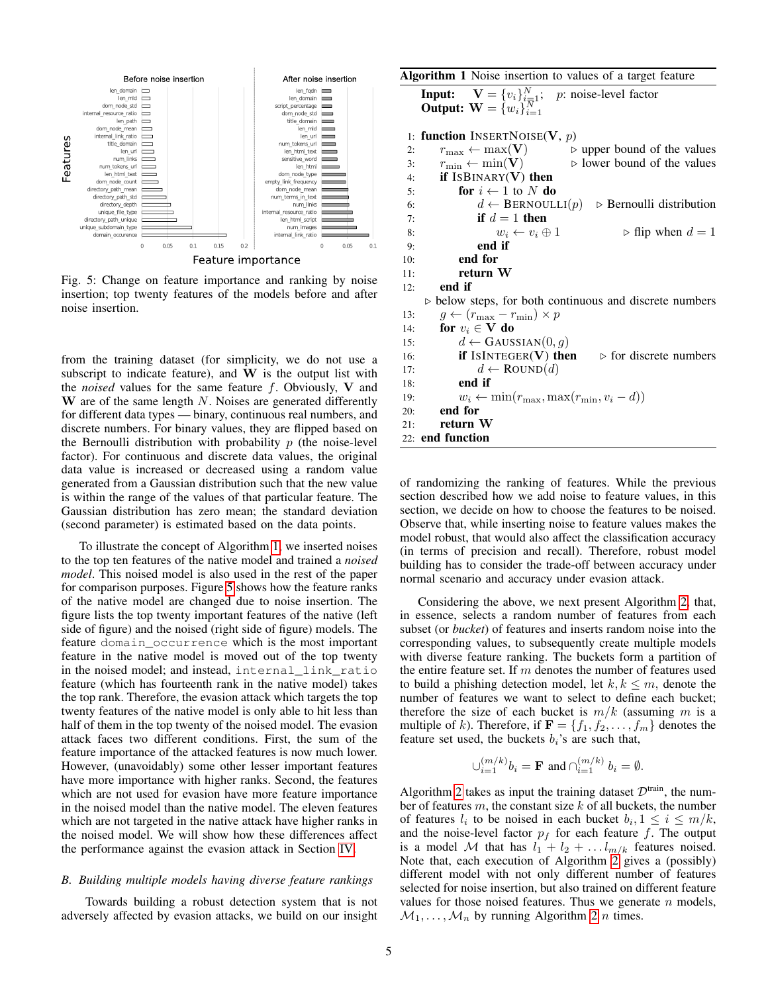<span id="page-4-1"></span>

Fig. 5: Change on feature importance and ranking by noise insertion; top twenty features of the models before and after noise insertion.

from the training dataset (for simplicity, we do not use a subscript to indicate feature), and  $W$  is the output list with the *noised* values for the same feature  $f$ . Obviously, V and W are of the same length  $N$ . Noises are generated differently for different data types — binary, continuous real numbers, and discrete numbers. For binary values, they are flipped based on the Bernoulli distribution with probability  $p$  (the noise-level factor). For continuous and discrete data values, the original data value is increased or decreased using a random value generated from a Gaussian distribution such that the new value is within the range of the values of that particular feature. The Gaussian distribution has zero mean; the standard deviation (second parameter) is estimated based on the data points.

To illustrate the concept of Algorithm [1,](#page-4-0) we inserted noises to the top ten features of the native model and trained a *noised model*. This noised model is also used in the rest of the paper for comparison purposes. Figure [5](#page-4-1) shows how the feature ranks of the native model are changed due to noise insertion. The figure lists the top twenty important features of the native (left side of figure) and the noised (right side of figure) models. The feature domain\_occurrence which is the most important feature in the native model is moved out of the top twenty in the noised model; and instead, internal\_link\_ratio feature (which has fourteenth rank in the native model) takes the top rank. Therefore, the evasion attack which targets the top twenty features of the native model is only able to hit less than half of them in the top twenty of the noised model. The evasion attack faces two different conditions. First, the sum of the feature importance of the attacked features is now much lower. However, (unavoidably) some other lesser important features have more importance with higher ranks. Second, the features which are not used for evasion have more feature importance in the noised model than the native model. The eleven features which are not targeted in the native attack have higher ranks in the noised model. We will show how these differences affect the performance against the evasion attack in Section [IV.](#page-5-0)

# *B. Building multiple models having diverse feature rankings*

Towards building a robust detection system that is not adversely affected by evasion attacks, we build on our insight <span id="page-4-0"></span>Algorithm 1 Noise insertion to values of a target feature

**Input:**  $\mathbf{V} = \{v_i\}_{i=1}^N$ ; *p*: noise-level factor **Output:**  $\mathbf{W} = \{w_i\}_{i=1}^N$ 1: function INSERTNOISE(V,  $p$ ) 2:  $r_{\text{max}} \leftarrow \max(\mathbf{V})$  b upper bound of the values<br>3:  $r_{\text{min}} \leftarrow \min(\mathbf{V})$  b lower bound of the values 3:  $r_{\text{min}} \leftarrow \min(\mathbf{V})$   $\triangleright$  lower bound of the values 4: if  $ISBINARY(V)$  then 5: for  $i \leftarrow 1$  to N do 6:  $d \leftarrow \text{BERNOULLI}(p) \Rightarrow \text{Bernoulli distribution}$ 

7: **if**  $d = 1$  then 8:  $w_i \leftarrow v_i \oplus 1$   $\triangleright$  flip when  $d = 1$ 9: end if 10: end for 11: return W 12: end if  $\triangleright$  below steps, for both continuous and discrete numbers 13:  $g \leftarrow (r_{\text{max}} - r_{\text{min}}) \times p$ 14: for  $v_i \in V$  do 15:  $d \leftarrow$  GAUSSIAN(0, g)

16: **if** ISINTEGER(V) then  $\triangleright$  for discrete numbers 17:  $d \leftarrow \text{Round}(d)$ 18: end if 19:  $w_i \leftarrow \min(r_{\text{max}}, \max(r_{\text{min}}, v_i - d))$ 20: end for 21: return W 22: end function

of randomizing the ranking of features. While the previous section described how we add noise to feature values, in this section, we decide on how to choose the features to be noised. Observe that, while inserting noise to feature values makes the model robust, that would also affect the classification accuracy (in terms of precision and recall). Therefore, robust model building has to consider the trade-off between accuracy under normal scenario and accuracy under evasion attack.

Considering the above, we next present Algorithm [2,](#page-5-1) that, in essence, selects a random number of features from each subset (or *bucket*) of features and inserts random noise into the corresponding values, to subsequently create multiple models with diverse feature ranking. The buckets form a partition of the entire feature set. If  $m$  denotes the number of features used to build a phishing detection model, let  $k, k \leq m$ , denote the number of features we want to select to define each bucket; therefore the size of each bucket is  $m/k$  (assuming m is a multiple of k). Therefore, if  $\mathbf{F} = \{f_1, f_2, \dots, f_m\}$  denotes the feature set used, the buckets  $b_i$ 's are such that,

$$
\cup_{i=1}^{(m/k)}b_i={\mathbf{F}}\text{ and } \cap_{i=1}^{(m/k)}b_i=\emptyset.
$$

Algorithm [2](#page-5-1) takes as input the training dataset  $\mathcal{D}^{train}$ , the number of features  $m$ , the constant size  $k$  of all buckets, the number of features  $l_i$  to be noised in each bucket  $b_i, 1 \leq i \leq m/k$ , and the noise-level factor  $p_f$  for each feature f. The output is a model M that has  $l_1 + l_2 + \ldots l_{m/k}$  features noised. Note that, each execution of Algorithm  $2$  gives a (possibly) different model with not only different number of features selected for noise insertion, but also trained on different feature values for those noised features. Thus we generate  $n$  models,  $\mathcal{M}_1, \ldots, \mathcal{M}_n$  by running Algorithm [2](#page-5-1) *n* times.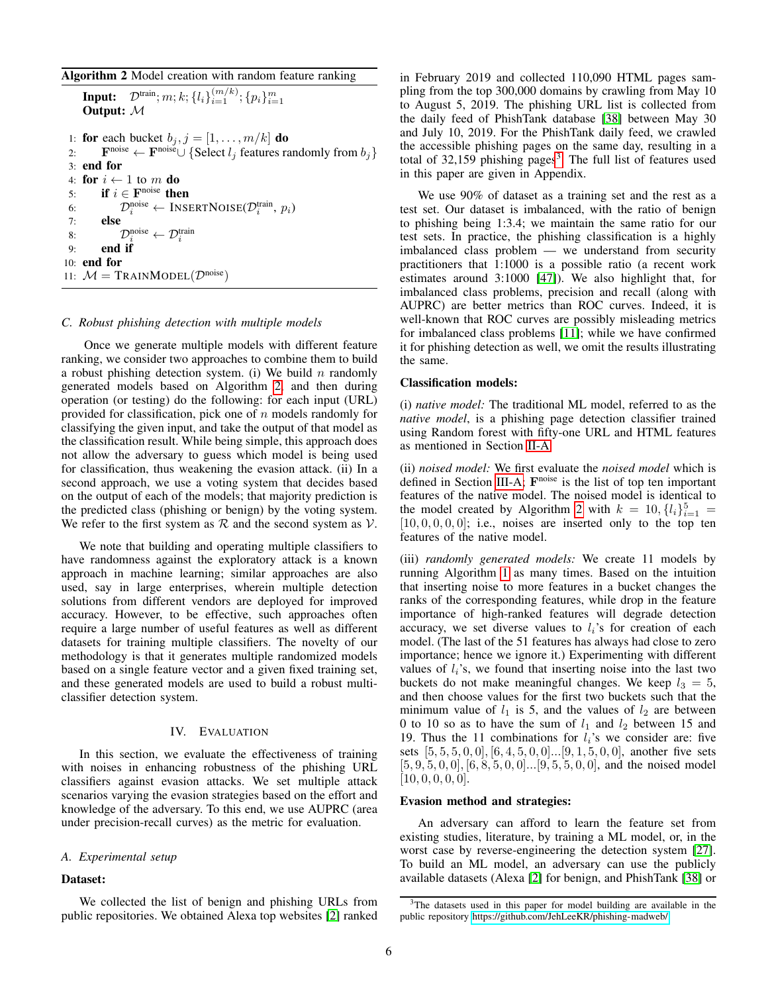<span id="page-5-1"></span>

| Algorithm 2 Model creation with random feature ranking |  |  |  |  |  |  |  |
|--------------------------------------------------------|--|--|--|--|--|--|--|
|--------------------------------------------------------|--|--|--|--|--|--|--|

```
Input: \mathcal{D}^{\text{train}}; m; k; \{l_i\}_{i=1}^{(m/k)}; \{p_i\}_{i=1}^{m}Output: M
 1: for each bucket b_j, j = [1, \ldots, m/k] do
 2: F<sup>noise</sup> ← F<sup>noise</sup>∪ {Select l_j features randomly from b_j}
3: end for
4: for i \leftarrow 1 to m do
 5: if i \in \mathbf{F}^{\text{noise}} then
 6: \mathcal{D}_i^{\text{noise}} \leftarrow \text{INSERTNoise}(\mathcal{D}_i^{\text{train}}, p_i)7: else
 8: \mathcal{D}_i^{\text{noise}} \leftarrow \mathcal{D}_i^{\text{train}}9: end if
10: end for
11: M = \text{TRAINMODEL}(\mathcal{D}^{\text{noise}})
```
#### <span id="page-5-3"></span>*C. Robust phishing detection with multiple models*

Once we generate multiple models with different feature ranking, we consider two approaches to combine them to build a robust phishing detection system. (i) We build  $n$  randomly generated models based on Algorithm [2,](#page-5-1) and then during operation (or testing) do the following: for each input (URL) provided for classification, pick one of  $n$  models randomly for classifying the given input, and take the output of that model as the classification result. While being simple, this approach does not allow the adversary to guess which model is being used for classification, thus weakening the evasion attack. (ii) In a second approach, we use a voting system that decides based on the output of each of the models; that majority prediction is the predicted class (phishing or benign) by the voting system. We refer to the first system as  $R$  and the second system as  $V$ .

We note that building and operating multiple classifiers to have randomness against the exploratory attack is a known approach in machine learning; similar approaches are also used, say in large enterprises, wherein multiple detection solutions from different vendors are deployed for improved accuracy. However, to be effective, such approaches often require a large number of useful features as well as different datasets for training multiple classifiers. The novelty of our methodology is that it generates multiple randomized models based on a single feature vector and a given fixed training set, and these generated models are used to build a robust multiclassifier detection system.

#### IV. EVALUATION

<span id="page-5-0"></span>In this section, we evaluate the effectiveness of training with noises in enhancing robustness of the phishing URL classifiers against evasion attacks. We set multiple attack scenarios varying the evasion strategies based on the effort and knowledge of the adversary. To this end, we use AUPRC (area under precision-recall curves) as the metric for evaluation.

#### *A. Experimental setup*

#### Dataset:

We collected the list of benign and phishing URLs from public repositories. We obtained Alexa top websites [\[2\]](#page-9-3) ranked in February 2019 and collected 110,090 HTML pages sampling from the top 300,000 domains by crawling from May 10 to August 5, 2019. The phishing URL list is collected from the daily feed of PhishTank database [\[38\]](#page-10-23) between May 30 and July 10, 2019. For the PhishTank daily feed, we crawled the accessible phishing pages on the same day, resulting in a total of  $32,159$  $32,159$  phishing pages<sup>3</sup>. The full list of features used in this paper are given in Appendix.

We use 90% of dataset as a training set and the rest as a test set. Our dataset is imbalanced, with the ratio of benign to phishing being 1:3.4; we maintain the same ratio for our test sets. In practice, the phishing classification is a highly imbalanced class problem — we understand from security practitioners that 1:1000 is a possible ratio (a recent work estimates around 3:1000 [\[47\]](#page-10-32)). We also highlight that, for imbalanced class problems, precision and recall (along with AUPRC) are better metrics than ROC curves. Indeed, it is well-known that ROC curves are possibly misleading metrics for imbalanced class problems [\[11\]](#page-10-33); while we have confirmed it for phishing detection as well, we omit the results illustrating the same.

#### Classification models:

(i) *native model:* The traditional ML model, referred to as the *native model*, is a phishing page detection classifier trained using Random forest with fifty-one URL and HTML features as mentioned in Section [II-A.](#page-1-0)

(ii) *noised model:* We first evaluate the *noised model* which is defined in Section [III-A;](#page-3-2) F<sup>noise</sup> is the list of top ten important features of the native model. The noised model is identical to the model created by Algorithm [2](#page-5-1) with  $k = 10$ ,  $\{l_i\}_{i=1}^5$  =  $[10, 0, 0, 0, 0]$ ; i.e., noises are inserted only to the top ten features of the native model.

(iii) *randomly generated models:* We create 11 models by running Algorithm [1](#page-4-0) as many times. Based on the intuition that inserting noise to more features in a bucket changes the ranks of the corresponding features, while drop in the feature importance of high-ranked features will degrade detection accuracy, we set diverse values to  $l_i$ 's for creation of each model. (The last of the 51 features has always had close to zero importance; hence we ignore it.) Experimenting with different values of  $l_i$ 's, we found that inserting noise into the last two buckets do not make meaningful changes. We keep  $l_3 = 5$ , and then choose values for the first two buckets such that the minimum value of  $l_1$  is 5, and the values of  $l_2$  are between 0 to 10 so as to have the sum of  $l_1$  and  $l_2$  between 15 and 19. Thus the 11 combinations for  $l_i$ 's we consider are: five sets  $[5, 5, 5, 0, 0]$ ,  $[6, 4, 5, 0, 0]$ ... $[9, 1, 5, 0, 0]$ , another five sets  $[5, 9, 5, 0, 0], [6, 8, 5, 0, 0]...[9, 5, 5, 0, 0],$  and the noised model  $[10, 0, 0, 0, 0]$ .

#### Evasion method and strategies:

An adversary can afford to learn the feature set from existing studies, literature, by training a ML model, or, in the worst case by reverse-engineering the detection system [\[27\]](#page-10-8). To build an ML model, an adversary can use the publicly available datasets (Alexa [\[2\]](#page-9-3) for benign, and PhishTank [\[38\]](#page-10-23) or

<span id="page-5-2"></span><sup>&</sup>lt;sup>3</sup>The datasets used in this paper for model building are available in the public repository [https://github.com/JehLeeKR/phishing-madweb/.](https://github.com/JehLeeKR/phishing-madweb/)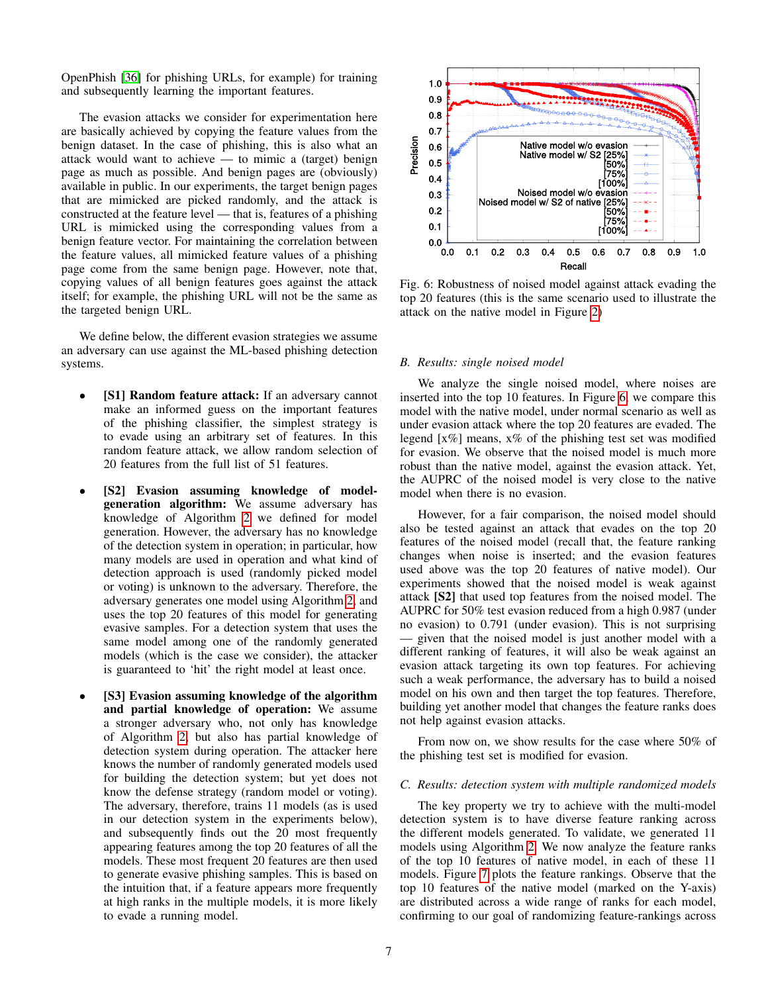OpenPhish [\[36\]](#page-10-34) for phishing URLs, for example) for training and subsequently learning the important features.

The evasion attacks we consider for experimentation here are basically achieved by copying the feature values from the benign dataset. In the case of phishing, this is also what an attack would want to achieve — to mimic a (target) benign page as much as possible. And benign pages are (obviously) available in public. In our experiments, the target benign pages that are mimicked are picked randomly, and the attack is constructed at the feature level — that is, features of a phishing URL is mimicked using the corresponding values from a benign feature vector. For maintaining the correlation between the feature values, all mimicked feature values of a phishing page come from the same benign page. However, note that, copying values of all benign features goes against the attack itself; for example, the phishing URL will not be the same as the targeted benign URL.

We define below, the different evasion strategies we assume an adversary can use against the ML-based phishing detection systems.

- [S1] Random feature attack: If an adversary cannot make an informed guess on the important features of the phishing classifier, the simplest strategy is to evade using an arbitrary set of features. In this random feature attack, we allow random selection of 20 features from the full list of 51 features.
- [S2] Evasion assuming knowledge of modelgeneration algorithm: We assume adversary has knowledge of Algorithm [2](#page-5-1) we defined for model generation. However, the adversary has no knowledge of the detection system in operation; in particular, how many models are used in operation and what kind of detection approach is used (randomly picked model or voting) is unknown to the adversary. Therefore, the adversary generates one model using Algorithm [2,](#page-5-1) and uses the top 20 features of this model for generating evasive samples. For a detection system that uses the same model among one of the randomly generated models (which is the case we consider), the attacker is guaranteed to 'hit' the right model at least once.
- [S3] Evasion assuming knowledge of the algorithm and partial knowledge of operation: We assume a stronger adversary who, not only has knowledge of Algorithm [2,](#page-5-1) but also has partial knowledge of detection system during operation. The attacker here knows the number of randomly generated models used for building the detection system; but yet does not know the defense strategy (random model or voting). The adversary, therefore, trains 11 models (as is used in our detection system in the experiments below), and subsequently finds out the 20 most frequently appearing features among the top 20 features of all the models. These most frequent 20 features are then used to generate evasive phishing samples. This is based on the intuition that, if a feature appears more frequently at high ranks in the multiple models, it is more likely to evade a running model.

<span id="page-6-0"></span>

Fig. 6: Robustness of noised model against attack evading the top 20 features (this is the same scenario used to illustrate the attack on the native model in Figure [2\)](#page-2-2)

#### *B. Results: single noised model*

We analyze the single noised model, where noises are inserted into the top 10 features. In Figure [6,](#page-6-0) we compare this model with the native model, under normal scenario as well as under evasion attack where the top 20 features are evaded. The legend [x%] means, x% of the phishing test set was modified for evasion. We observe that the noised model is much more robust than the native model, against the evasion attack. Yet, the AUPRC of the noised model is very close to the native model when there is no evasion.

However, for a fair comparison, the noised model should also be tested against an attack that evades on the top 20 features of the noised model (recall that, the feature ranking changes when noise is inserted; and the evasion features used above was the top 20 features of native model). Our experiments showed that the noised model is weak against attack [S2] that used top features from the noised model. The AUPRC for 50% test evasion reduced from a high 0.987 (under no evasion) to 0.791 (under evasion). This is not surprising — given that the noised model is just another model with a different ranking of features, it will also be weak against an evasion attack targeting its own top features. For achieving such a weak performance, the adversary has to build a noised model on his own and then target the top features. Therefore, building yet another model that changes the feature ranks does not help against evasion attacks.

From now on, we show results for the case where 50% of the phishing test set is modified for evasion.

#### *C. Results: detection system with multiple randomized models*

The key property we try to achieve with the multi-model detection system is to have diverse feature ranking across the different models generated. To validate, we generated 11 models using Algorithm [2.](#page-5-1) We now analyze the feature ranks of the top 10 features of native model, in each of these 11 models. Figure [7](#page-7-0) plots the feature rankings. Observe that the top 10 features of the native model (marked on the Y-axis) are distributed across a wide range of ranks for each model, confirming to our goal of randomizing feature-rankings across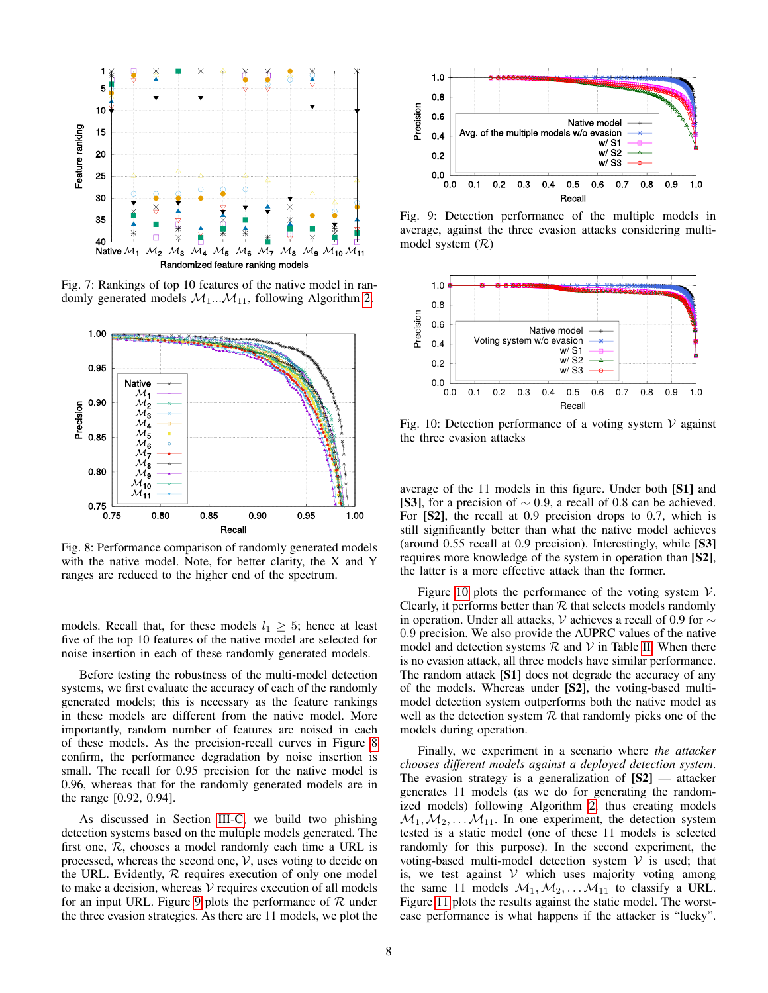<span id="page-7-0"></span>

Fig. 7: Rankings of top 10 features of the native model in randomly generated models  $M_1...M_{11}$ , following Algorithm [2.](#page-5-1)

<span id="page-7-1"></span>

Fig. 8: Performance comparison of randomly generated models with the native model. Note, for better clarity, the X and Y ranges are reduced to the higher end of the spectrum.

models. Recall that, for these models  $l_1 \geq 5$ ; hence at least five of the top 10 features of the native model are selected for noise insertion in each of these randomly generated models.

Before testing the robustness of the multi-model detection systems, we first evaluate the accuracy of each of the randomly generated models; this is necessary as the feature rankings in these models are different from the native model. More importantly, random number of features are noised in each of these models. As the precision-recall curves in Figure [8](#page-7-1) confirm, the performance degradation by noise insertion is small. The recall for 0.95 precision for the native model is 0.96, whereas that for the randomly generated models are in the range [0.92, 0.94].

As discussed in Section [III-C,](#page-5-3) we build two phishing detection systems based on the multiple models generated. The first one,  $R$ , chooses a model randomly each time a URL is processed, whereas the second one,  $V$ , uses voting to decide on the URL. Evidently,  $R$  requires execution of only one model to make a decision, whereas  $V$  requires execution of all models for an input URL. Figure [9](#page-7-2) plots the performance of  $R$  under the three evasion strategies. As there are 11 models, we plot the

<span id="page-7-2"></span>

Fig. 9: Detection performance of the multiple models in average, against the three evasion attacks considering multimodel system  $(R)$ 

<span id="page-7-3"></span>

Fig. 10: Detection performance of a voting system  $V$  against the three evasion attacks

average of the 11 models in this figure. Under both [S1] and [S3], for a precision of  $\sim 0.9$ , a recall of 0.8 can be achieved. For [S2], the recall at 0.9 precision drops to 0.7, which is still significantly better than what the native model achieves (around 0.55 recall at 0.9 precision). Interestingly, while [S3] requires more knowledge of the system in operation than [S2], the latter is a more effective attack than the former.

Figure [10](#page-7-3) plots the performance of the voting system  $V$ . Clearly, it performs better than  $R$  that selects models randomly in operation. Under all attacks, V achieves a recall of 0.9 for ∼ 0.9 precision. We also provide the AUPRC values of the native model and detection systems  $R$  and  $V$  in Table [II.](#page-8-1) When there is no evasion attack, all three models have similar performance. The random attack [S1] does not degrade the accuracy of any of the models. Whereas under [S2], the voting-based multimodel detection system outperforms both the native model as well as the detection system  $R$  that randomly picks one of the models during operation.

Finally, we experiment in a scenario where *the attacker chooses different models against a deployed detection system*. The evasion strategy is a generalization of  $[S2]$  — attacker generates 11 models (as we do for generating the randomized models) following Algorithm [2,](#page-5-1) thus creating models  $M_1, M_2, \ldots, M_{11}$ . In one experiment, the detection system tested is a static model (one of these 11 models is selected randomly for this purpose). In the second experiment, the voting-based multi-model detection system  $V$  is used; that is, we test against  $V$  which uses majority voting among the same 11 models  $M_1, M_2, \ldots, M_{11}$  to classify a URL. Figure [11](#page-8-2) plots the results against the static model. The worstcase performance is what happens if the attacker is "lucky".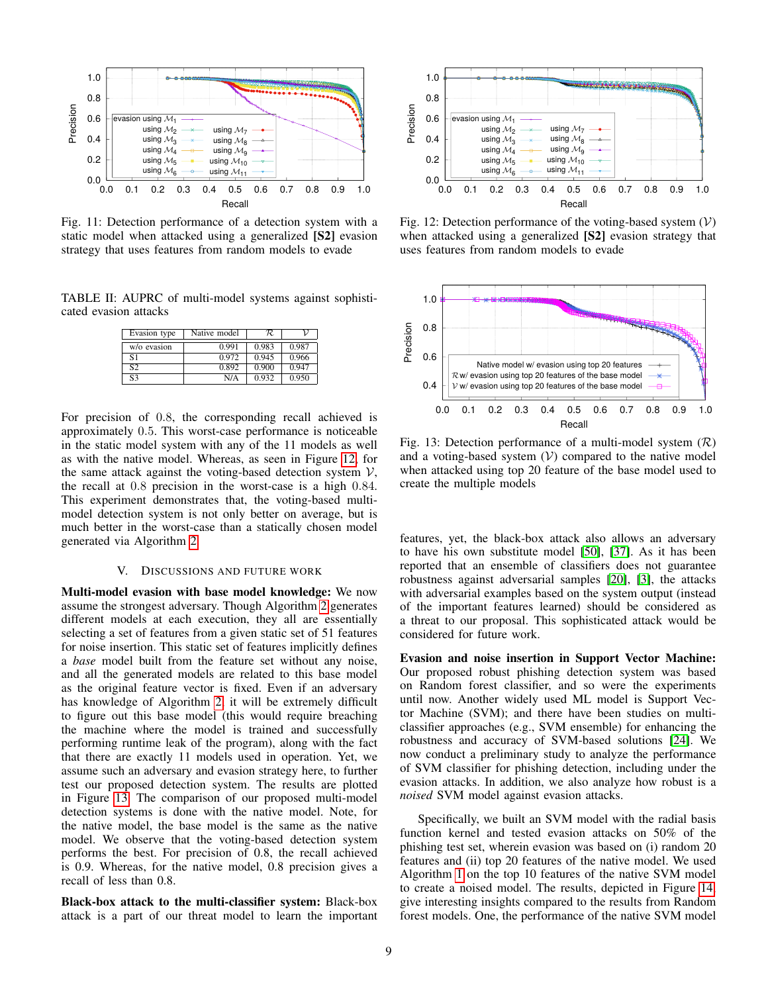<span id="page-8-2"></span>

Fig. 11: Detection performance of a detection system with a static model when attacked using a generalized [S2] evasion strategy that uses features from random models to evade

<span id="page-8-1"></span>TABLE II: AUPRC of multi-model systems against sophisticated evasion attacks

| Evasion type   | Native model | R.    |       |
|----------------|--------------|-------|-------|
| w/o evasion    | 0.991        | 0.983 | 0.987 |
| S1             | 0.972        | 0.945 | 0.966 |
| S <sub>2</sub> | 0.892        | 0.900 | 0.947 |
| S <sub>3</sub> | N/A          | 0.932 | 0.950 |

For precision of 0.8, the corresponding recall achieved is approximately 0.5. This worst-case performance is noticeable in the static model system with any of the 11 models as well as with the native model. Whereas, as seen in Figure [12,](#page-8-3) for the same attack against the voting-based detection system  $V$ , the recall at 0.8 precision in the worst-case is a high 0.84. This experiment demonstrates that, the voting-based multimodel detection system is not only better on average, but is much better in the worst-case than a statically chosen model generated via Algorithm [2.](#page-5-1)

#### V. DISCUSSIONS AND FUTURE WORK

<span id="page-8-0"></span>Multi-model evasion with base model knowledge: We now assume the strongest adversary. Though Algorithm [2](#page-5-1) generates different models at each execution, they all are essentially selecting a set of features from a given static set of 51 features for noise insertion. This static set of features implicitly defines a *base* model built from the feature set without any noise, and all the generated models are related to this base model as the original feature vector is fixed. Even if an adversary has knowledge of Algorithm [2,](#page-5-1) it will be extremely difficult to figure out this base model (this would require breaching the machine where the model is trained and successfully performing runtime leak of the program), along with the fact that there are exactly 11 models used in operation. Yet, we assume such an adversary and evasion strategy here, to further test our proposed detection system. The results are plotted in Figure [13.](#page-8-4) The comparison of our proposed multi-model detection systems is done with the native model. Note, for the native model, the base model is the same as the native model. We observe that the voting-based detection system performs the best. For precision of 0.8, the recall achieved is 0.9. Whereas, for the native model, 0.8 precision gives a recall of less than 0.8.

Black-box attack to the multi-classifier system: Black-box attack is a part of our threat model to learn the important

<span id="page-8-3"></span>

Fig. 12: Detection performance of the voting-based system  $(V)$ when attacked using a generalized [S2] evasion strategy that uses features from random models to evade

<span id="page-8-4"></span>

Fig. 13: Detection performance of a multi-model system  $(\mathcal{R})$ and a voting-based system  $(V)$  compared to the native model when attacked using top 20 feature of the base model used to create the multiple models

features, yet, the black-box attack also allows an adversary to have his own substitute model [\[50\]](#page-10-35), [\[37\]](#page-10-36). As it has been reported that an ensemble of classifiers does not guarantee robustness against adversarial samples [\[20\]](#page-10-37), [\[3\]](#page-9-5), the attacks with adversarial examples based on the system output (instead of the important features learned) should be considered as a threat to our proposal. This sophisticated attack would be considered for future work.

Evasion and noise insertion in Support Vector Machine: Our proposed robust phishing detection system was based on Random forest classifier, and so were the experiments until now. Another widely used ML model is Support Vector Machine (SVM); and there have been studies on multiclassifier approaches (e.g., SVM ensemble) for enhancing the robustness and accuracy of SVM-based solutions [\[24\]](#page-10-38). We now conduct a preliminary study to analyze the performance of SVM classifier for phishing detection, including under the evasion attacks. In addition, we also analyze how robust is a *noised* SVM model against evasion attacks.

Specifically, we built an SVM model with the radial basis function kernel and tested evasion attacks on 50% of the phishing test set, wherein evasion was based on (i) random 20 features and (ii) top 20 features of the native model. We used Algorithm [1](#page-4-0) on the top 10 features of the native SVM model to create a noised model. The results, depicted in Figure [14,](#page-9-6) give interesting insights compared to the results from Random forest models. One, the performance of the native SVM model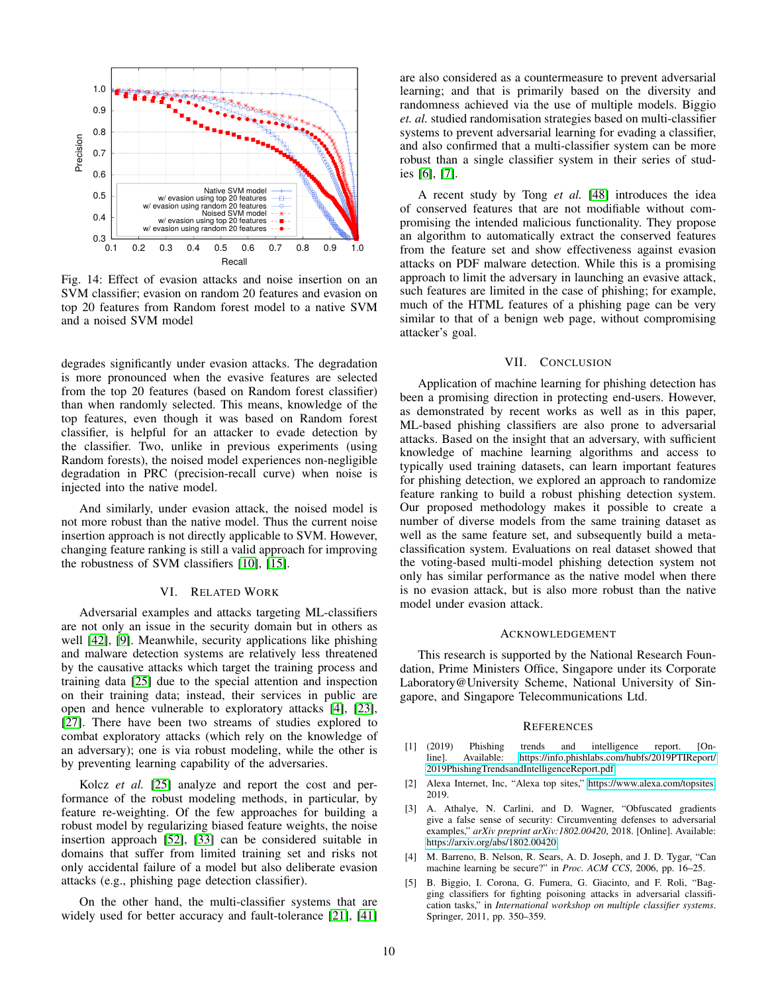<span id="page-9-6"></span>

Fig. 14: Effect of evasion attacks and noise insertion on an SVM classifier; evasion on random 20 features and evasion on top 20 features from Random forest model to a native SVM and a noised SVM model

degrades significantly under evasion attacks. The degradation is more pronounced when the evasive features are selected from the top 20 features (based on Random forest classifier) than when randomly selected. This means, knowledge of the top features, even though it was based on Random forest classifier, is helpful for an attacker to evade detection by the classifier. Two, unlike in previous experiments (using Random forests), the noised model experiences non-negligible degradation in PRC (precision-recall curve) when noise is injected into the native model.

And similarly, under evasion attack, the noised model is not more robust than the native model. Thus the current noise insertion approach is not directly applicable to SVM. However, changing feature ranking is still a valid approach for improving the robustness of SVM classifiers [\[10\]](#page-10-39), [\[15\]](#page-10-31).

#### VI. RELATED WORK

<span id="page-9-1"></span>Adversarial examples and attacks targeting ML-classifiers are not only an issue in the security domain but in others as well [\[42\]](#page-10-40), [\[9\]](#page-10-41). Meanwhile, security applications like phishing and malware detection systems are relatively less threatened by the causative attacks which target the training process and training data [\[25\]](#page-10-11) due to the special attention and inspection on their training data; instead, their services in public are open and hence vulnerable to exploratory attacks [\[4\]](#page-9-2), [\[23\]](#page-10-42), [\[27\]](#page-10-8). There have been two streams of studies explored to combat exploratory attacks (which rely on the knowledge of an adversary); one is via robust modeling, while the other is by preventing learning capability of the adversaries.

Kolcz *et al.* [\[25\]](#page-10-11) analyze and report the cost and performance of the robust modeling methods, in particular, by feature re-weighting. Of the few approaches for building a robust model by regularizing biased feature weights, the noise insertion approach [\[52\]](#page-10-43), [\[33\]](#page-10-44) can be considered suitable in domains that suffer from limited training set and risks not only accidental failure of a model but also deliberate evasion attacks (e.g., phishing page detection classifier).

On the other hand, the multi-classifier systems that are widely used for better accuracy and fault-tolerance [\[21\]](#page-10-45), [\[41\]](#page-10-46) are also considered as a countermeasure to prevent adversarial learning; and that is primarily based on the diversity and randomness achieved via the use of multiple models. Biggio *et. al.* studied randomisation strategies based on multi-classifier systems to prevent adversarial learning for evading a classifier, and also confirmed that a multi-classifier system can be more robust than a single classifier system in their series of studies [\[6\]](#page-10-47), [\[7\]](#page-10-25).

A recent study by Tong *et al.* [\[48\]](#page-10-10) introduces the idea of conserved features that are not modifiable without compromising the intended malicious functionality. They propose an algorithm to automatically extract the conserved features from the feature set and show effectiveness against evasion attacks on PDF malware detection. While this is a promising approach to limit the adversary in launching an evasive attack, such features are limited in the case of phishing; for example, much of the HTML features of a phishing page can be very similar to that of a benign web page, without compromising attacker's goal.

#### VII. CONCLUSION

Application of machine learning for phishing detection has been a promising direction in protecting end-users. However, as demonstrated by recent works as well as in this paper, ML-based phishing classifiers are also prone to adversarial attacks. Based on the insight that an adversary, with sufficient knowledge of machine learning algorithms and access to typically used training datasets, can learn important features for phishing detection, we explored an approach to randomize feature ranking to build a robust phishing detection system. Our proposed methodology makes it possible to create a number of diverse models from the same training dataset as well as the same feature set, and subsequently build a metaclassification system. Evaluations on real dataset showed that the voting-based multi-model phishing detection system not only has similar performance as the native model when there is no evasion attack, but is also more robust than the native model under evasion attack.

#### ACKNOWLEDGEMENT

This research is supported by the National Research Foundation, Prime Ministers Office, Singapore under its Corporate Laboratory@University Scheme, National University of Singapore, and Singapore Telecommunications Ltd.

#### **REFERENCES**

- <span id="page-9-0"></span>[1] (2019) Phishing trends and intelligence report. [Online]. Available: [https://info.phishlabs.com/hubfs/2019PTIReport/](https://info.phishlabs.com/hubfs/2019 PTI Report/2019 Phishing Trends and Intelligence Report.pdf) [2019PhishingTrendsandIntelligenceReport.pdf](https://info.phishlabs.com/hubfs/2019 PTI Report/2019 Phishing Trends and Intelligence Report.pdf)
- <span id="page-9-3"></span>[2] Alexa Internet, Inc, "Alexa top sites," [https://www.alexa.com/topsites,](https://www.alexa.com/topsites) 2019.
- <span id="page-9-5"></span>[3] A. Athalye, N. Carlini, and D. Wagner, "Obfuscated gradients give a false sense of security: Circumventing defenses to adversarial examples," *arXiv preprint arXiv:1802.00420*, 2018. [Online]. Available: <https://arxiv.org/abs/1802.00420>
- <span id="page-9-2"></span>[4] M. Barreno, B. Nelson, R. Sears, A. D. Joseph, and J. D. Tygar, "Can machine learning be secure?" in *Proc. ACM CCS*, 2006, pp. 16–25.
- <span id="page-9-4"></span>[5] B. Biggio, I. Corona, G. Fumera, G. Giacinto, and F. Roli, "Bagging classifiers for fighting poisoning attacks in adversarial classification tasks," in *International workshop on multiple classifier systems*. Springer, 2011, pp. 350–359.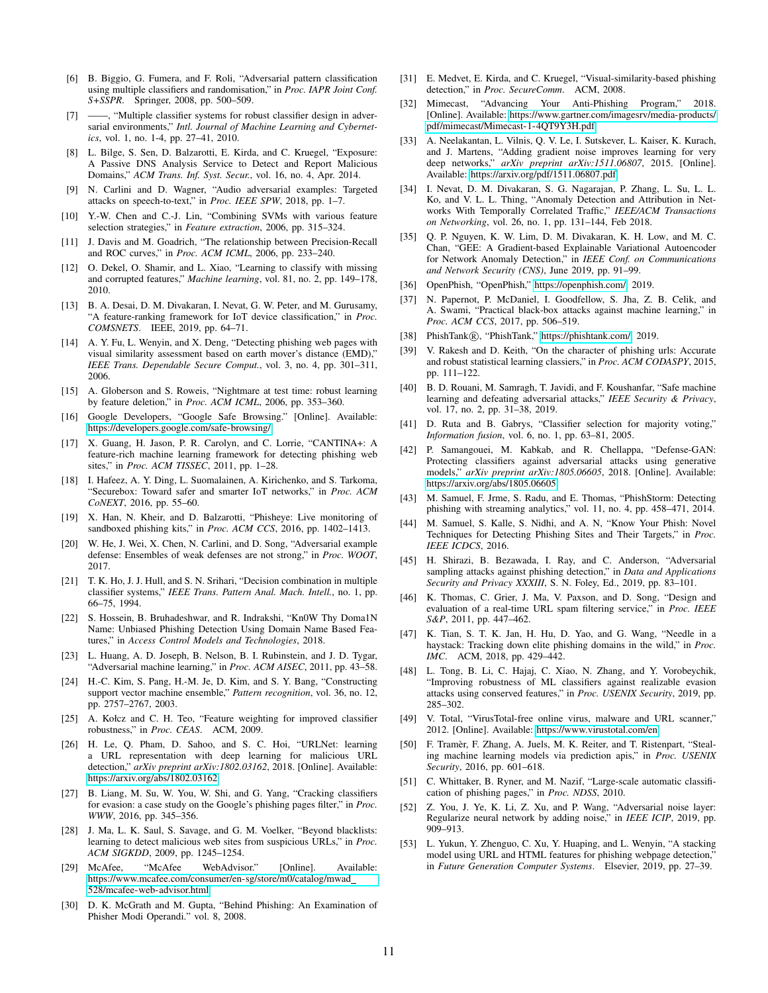- <span id="page-10-47"></span>[6] B. Biggio, G. Fumera, and F. Roli, "Adversarial pattern classification using multiple classifiers and randomisation," in *Proc. IAPR Joint Conf. S+SSPR*. Springer, 2008, pp. 500–509.
- <span id="page-10-25"></span>-, "Multiple classifier systems for robust classifier design in adversarial environments," *Intl. Journal of Machine Learning and Cybernetics*, vol. 1, no. 1-4, pp. 27–41, 2010.
- <span id="page-10-14"></span>[8] L. Bilge, S. Sen, D. Balzarotti, E. Kirda, and C. Kruegel, "Exposure: A Passive DNS Analysis Service to Detect and Report Malicious Domains," *ACM Trans. Inf. Syst. Secur.*, vol. 16, no. 4, Apr. 2014.
- <span id="page-10-41"></span>[9] N. Carlini and D. Wagner, "Audio adversarial examples: Targeted attacks on speech-to-text," in *Proc. IEEE SPW*, 2018, pp. 1–7.
- <span id="page-10-39"></span>[10] Y.-W. Chen and C.-J. Lin, "Combining SVMs with various feature selection strategies," in *Feature extraction*, 2006, pp. 315–324.
- <span id="page-10-33"></span>[11] J. Davis and M. Goadrich, "The relationship between Precision-Recall and ROC curves," in *Proc. ACM ICML*, 2006, pp. 233–240.
- <span id="page-10-30"></span>[12] O. Dekel, O. Shamir, and L. Xiao, "Learning to classify with missing and corrupted features," *Machine learning*, vol. 81, no. 2, pp. 149–178, 2010.
- <span id="page-10-24"></span>[13] B. A. Desai, D. M. Divakaran, I. Nevat, G. W. Peter, and M. Gurusamy, "A feature-ranking framework for IoT device classification," in *Proc. COMSNETS*. IEEE, 2019, pp. 64–71.
- <span id="page-10-27"></span>[14] A. Y. Fu, L. Wenyin, and X. Deng, "Detecting phishing web pages with visual similarity assessment based on earth mover's distance (EMD)," *IEEE Trans. Dependable Secure Comput.*, vol. 3, no. 4, pp. 301–311, 2006.
- <span id="page-10-31"></span>[15] A. Globerson and S. Roweis, "Nightmare at test time: robust learning by feature deletion," in *Proc. ACM ICML*, 2006, pp. 353–360.
- <span id="page-10-7"></span>[16] Google Developers, "Google Safe Browsing." [Online]. Available: <https://developers.google.com/safe-browsing/>
- <span id="page-10-1"></span>[17] X. Guang, H. Jason, P. R. Carolyn, and C. Lorrie, "CANTINA+: A feature-rich machine learning framework for detecting phishing web sites," in *Proc. ACM TISSEC*, 2011, pp. 1–28.
- <span id="page-10-16"></span>[18] I. Hafeez, A. Y. Ding, L. Suomalainen, A. Kirichenko, and S. Tarkoma, "Securebox: Toward safer and smarter IoT networks," in *Proc. ACM CoNEXT*, 2016, pp. 55–60.
- <span id="page-10-29"></span>[19] X. Han, N. Kheir, and D. Balzarotti, "Phisheye: Live monitoring of sandboxed phishing kits," in *Proc. ACM CCS*, 2016, pp. 1402–1413.
- <span id="page-10-37"></span>[20] W. He, J. Wei, X. Chen, N. Carlini, and D. Song, "Adversarial example defense: Ensembles of weak defenses are not strong," in *Proc. WOOT*, 2017.
- <span id="page-10-45"></span>[21] T. K. Ho, J. J. Hull, and S. N. Srihari, "Decision combination in multiple classifier systems," *IEEE Trans. Pattern Anal. Mach. Intell.*, no. 1, pp. 66–75, 1994.
- <span id="page-10-19"></span>[22] S. Hossein, B. Bruhadeshwar, and R. Indrakshi, "Kn0W Thy Doma1N Name: Unbiased Phishing Detection Using Domain Name Based Features," in *Access Control Models and Technologies*, 2018.
- <span id="page-10-42"></span>[23] L. Huang, A. D. Joseph, B. Nelson, B. I. Rubinstein, and J. D. Tygar, "Adversarial machine learning," in *Proc. ACM AISEC*, 2011, pp. 43–58.
- <span id="page-10-38"></span>[24] H.-C. Kim, S. Pang, H.-M. Je, D. Kim, and S. Y. Bang, "Constructing support vector machine ensemble," *Pattern recognition*, vol. 36, no. 12, pp. 2757–2767, 2003.
- <span id="page-10-11"></span>[25] A. Kołcz and C. H. Teo, "Feature weighting for improved classifier robustness," in *Proc. CEAS*. ACM, 2009.
- <span id="page-10-3"></span>[26] H. Le, Q. Pham, D. Sahoo, and S. C. Hoi, "URLNet: learning a URL representation with deep learning for malicious URL detection," *arXiv preprint arXiv:1802.03162*, 2018. [Online]. Available: <https://arxiv.org/abs/1802.03162>
- <span id="page-10-8"></span>[27] B. Liang, M. Su, W. You, W. Shi, and G. Yang, "Cracking classifiers for evasion: a case study on the Google's phishing pages filter," in *Proc. WWW*, 2016, pp. 345–356.
- <span id="page-10-22"></span>[28] J. Ma, L. K. Saul, S. Savage, and G. M. Voelker, "Beyond blacklists: learning to detect malicious web sites from suspicious URLs," in *Proc. ACM SIGKDD*, 2009, pp. 1245–1254.
- <span id="page-10-6"></span>[29] McAfee, "McAfee WebAdvisor." [Online]. Available: [https://www.mcafee.com/consumer/en-sg/store/m0/catalog/mwad](https://www.mcafee.com/consumer/en-sg/store/m0/catalog/mwad_528/mcafee-web-advisor.html) [528/mcafee-web-advisor.html](https://www.mcafee.com/consumer/en-sg/store/m0/catalog/mwad_528/mcafee-web-advisor.html)
- <span id="page-10-18"></span>[30] D. K. McGrath and M. Gupta, "Behind Phishing: An Examination of Phisher Modi Operandi." vol. 8, 2008.
- <span id="page-10-28"></span>[31] E. Medvet, E. Kirda, and C. Kruegel, "Visual-similarity-based phishing detection," in *Proc. SecureComm*. ACM, 2008.
- <span id="page-10-0"></span>[32] Mimecast, "Advancing Your Anti-Phishing Program," 2018. [Online]. Available: [https://www.gartner.com/imagesrv/media-products/](https://www.gartner.com/imagesrv/media-products/pdf/mimecast/Mimecast-1-4QT9Y3H.pdf) [pdf/mimecast/Mimecast-1-4QT9Y3H.pdf](https://www.gartner.com/imagesrv/media-products/pdf/mimecast/Mimecast-1-4QT9Y3H.pdf)
- <span id="page-10-44"></span>[33] A. Neelakantan, L. Vilnis, Q. V. Le, I. Sutskever, L. Kaiser, K. Kurach, and J. Martens, "Adding gradient noise improves learning for very deep networks," *arXiv preprint arXiv:1511.06807*, 2015. [Online]. Available:<https://arxiv.org/pdf/1511.06807.pdf>
- <span id="page-10-12"></span>[34] I. Nevat, D. M. Divakaran, S. G. Nagarajan, P. Zhang, L. Su, L. L. Ko, and V. L. L. Thing, "Anomaly Detection and Attribution in Networks With Temporally Correlated Traffic," *IEEE/ACM Transactions on Networking*, vol. 26, no. 1, pp. 131–144, Feb 2018.
- <span id="page-10-13"></span>[35] Q. P. Nguyen, K. W. Lim, D. M. Divakaran, K. H. Low, and M. C. Chan, "GEE: A Gradient-based Explainable Variational Autoencoder for Network Anomaly Detection," in *IEEE Conf. on Communications and Network Security (CNS)*, June 2019, pp. 91–99.
- <span id="page-10-34"></span>[36] OpenPhish, "OpenPhish," [https://openphish.com/,](https://openphish.com/) 2019.
- <span id="page-10-36"></span>[37] N. Papernot, P. McDaniel, I. Goodfellow, S. Jha, Z. B. Celik, and A. Swami, "Practical black-box attacks against machine learning," in *Proc. ACM CCS*, 2017, pp. 506–519.
- <span id="page-10-23"></span>[38] PhishTank®, "PhishTank," [https://phishtank.com/,](https://phishtank.com/) 2019.
- <span id="page-10-17"></span>[39] V. Rakesh and D. Keith, "On the character of phishing urls: Accurate and robust statistical learning classiers," in *Proc. ACM CODASPY*, 2015, pp. 111–122.
- <span id="page-10-26"></span>[40] B. D. Rouani, M. Samragh, T. Javidi, and F. Koushanfar, "Safe machine learning and defeating adversarial attacks," *IEEE Security & Privacy*, vol. 17, no. 2, pp. 31–38, 2019.
- <span id="page-10-46"></span>[41] D. Ruta and B. Gabrys, "Classifier selection for majority voting," *Information fusion*, vol. 6, no. 1, pp. 63–81, 2005.
- <span id="page-10-40"></span>[42] P. Samangouei, M. Kabkab, and R. Chellappa, "Defense-GAN: Protecting classifiers against adversarial attacks using generative models," *arXiv preprint arXiv:1805.06605*, 2018. [Online]. Available: <https://arxiv.org/abs/1805.06605>
- <span id="page-10-15"></span>[43] M. Samuel, F. Jrme, S. Radu, and E. Thomas, "PhishStorm: Detecting phishing with streaming analytics," vol. 11, no. 4, pp. 458–471, 2014.
- <span id="page-10-2"></span>[44] M. Samuel, S. Kalle, S. Nidhi, and A. N, "Know Your Phish: Novel Techniques for Detecting Phishing Sites and Their Targets," in *Proc. IEEE ICDCS*, 2016.
- <span id="page-10-9"></span>[45] H. Shirazi, B. Bezawada, I. Ray, and C. Anderson, "Adversarial sampling attacks against phishing detection," in *Data and Applications Security and Privacy XXXIII*, S. N. Foley, Ed., 2019, pp. 83–101.
- <span id="page-10-20"></span>[46] K. Thomas, C. Grier, J. Ma, V. Paxson, and D. Song, "Design and evaluation of a real-time URL spam filtering service," in *Proc. IEEE S&P*, 2011, pp. 447–462.
- <span id="page-10-32"></span>[47] K. Tian, S. T. K. Jan, H. Hu, D. Yao, and G. Wang, "Needle in a haystack: Tracking down elite phishing domains in the wild," in *Proc. IMC*. ACM, 2018, pp. 429–442.
- <span id="page-10-10"></span>L. Tong, B. Li, C. Hajaj, C. Xiao, N. Zhang, and Y. Vorobeychik, "Improving robustness of ML classifiers against realizable evasion attacks using conserved features," in *Proc. USENIX Security*, 2019, pp. 285–302.
- <span id="page-10-5"></span>[49] V. Total, "VirusTotal-free online virus, malware and URL scanner," 2012. [Online]. Available:<https://www.virustotal.com/en>
- <span id="page-10-35"></span>[50] F. Tramèr, F. Zhang, A. Juels, M. K. Reiter, and T. Ristenpart, "Stealing machine learning models via prediction apis," in *Proc. USENIX Security*, 2016, pp. 601–618.
- <span id="page-10-21"></span>[51] C. Whittaker, B. Ryner, and M. Nazif, "Large-scale automatic classification of phishing pages," in *Proc. NDSS*, 2010.
- <span id="page-10-43"></span>[52] Z. You, J. Ye, K. Li, Z. Xu, and P. Wang, "Adversarial noise layer: Regularize neural network by adding noise," in *IEEE ICIP*, 2019, pp. 909–913.
- <span id="page-10-4"></span>[53] L. Yukun, Y. Zhenguo, C. Xu, Y. Huaping, and L. Wenyin, "A stacking model using URL and HTML features for phishing webpage detection,' in *Future Generation Computer Systems*. Elsevier, 2019, pp. 27–39.